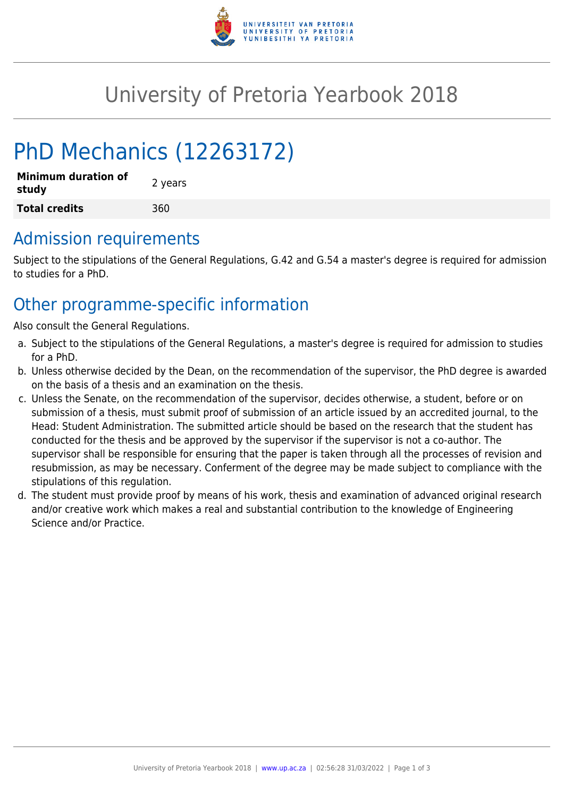

## University of Pretoria Yearbook 2018

# PhD Mechanics (12263172)

| <b>Minimum duration of</b><br>study | 2 years |  |
|-------------------------------------|---------|--|
| <b>Total credits</b>                | 360     |  |

#### Admission requirements

Subject to the stipulations of the General Regulations, G.42 and G.54 a master's degree is required for admission to studies for a PhD.

### Other programme-specific information

Also consult the General Regulations.

- a. Subject to the stipulations of the General Regulations, a master's degree is required for admission to studies for a PhD.
- b. Unless otherwise decided by the Dean, on the recommendation of the supervisor, the PhD degree is awarded on the basis of a thesis and an examination on the thesis.
- c. Unless the Senate, on the recommendation of the supervisor, decides otherwise, a student, before or on submission of a thesis, must submit proof of submission of an article issued by an accredited journal, to the Head: Student Administration. The submitted article should be based on the research that the student has conducted for the thesis and be approved by the supervisor if the supervisor is not a co-author. The supervisor shall be responsible for ensuring that the paper is taken through all the processes of revision and resubmission, as may be necessary. Conferment of the degree may be made subject to compliance with the stipulations of this regulation.
- d. The student must provide proof by means of his work, thesis and examination of advanced original research and/or creative work which makes a real and substantial contribution to the knowledge of Engineering Science and/or Practice.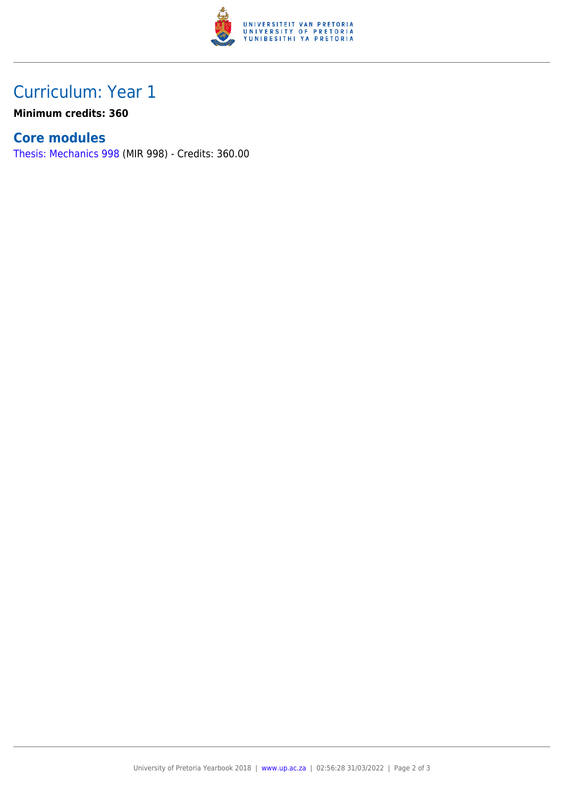

## Curriculum: Year 1

**Minimum credits: 360**

#### **Core modules**

[Thesis: Mechanics 998](https://www.up.ac.za/yearbooks/2018/modules/view/MIR 998) (MIR 998) - Credits: 360.00